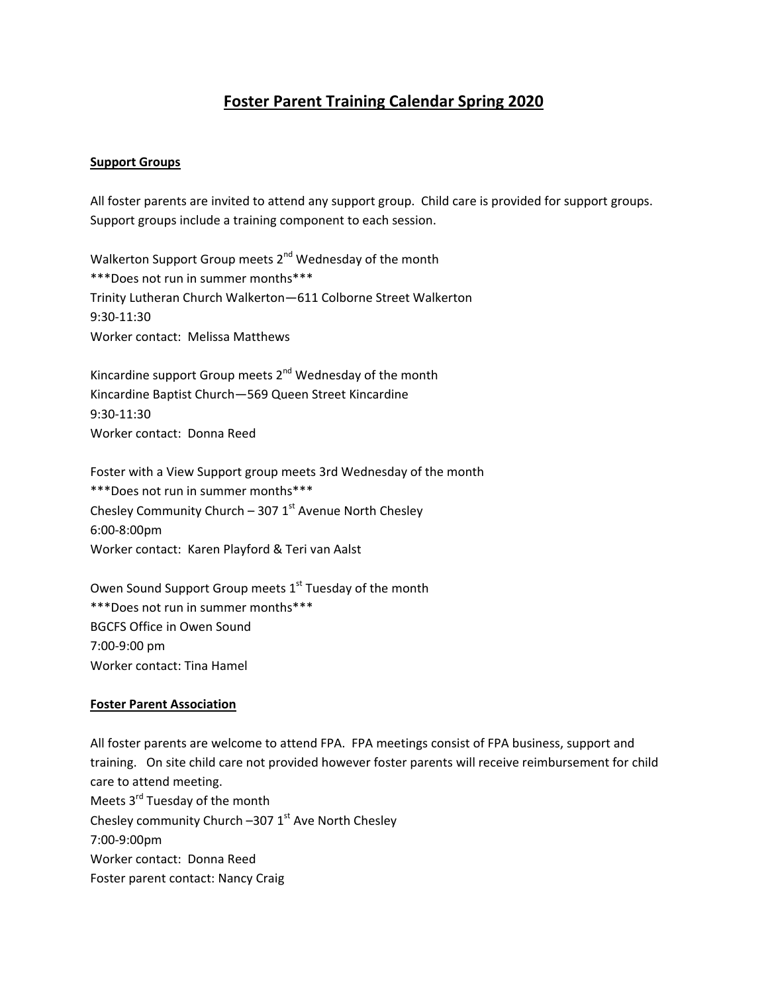# **Foster Parent Training Calendar Spring 2020**

#### **Support Groups**

All foster parents are invited to attend any support group. Child care is provided for support groups. Support groups include a training component to each session.

Walkerton Support Group meets 2<sup>nd</sup> Wednesday of the month \*\*\*Does not run in summer months\*\*\* Trinity Lutheran Church Walkerton—611 Colborne Street Walkerton 9:30‐11:30 Worker contact: Melissa Matthews

Kincardine support Group meets  $2^{nd}$  Wednesday of the month Kincardine Baptist Church—569 Queen Street Kincardine 9:30‐11:30 Worker contact: Donna Reed

Foster with a View Support group meets 3rd Wednesday of the month \*\*\*Does not run in summer months\*\*\* Chesley Community Church – 307  $1<sup>st</sup>$  Avenue North Chesley 6:00‐8:00pm Worker contact: Karen Playford & Teri van Aalst

Owen Sound Support Group meets 1<sup>st</sup> Tuesday of the month \*\*\*Does not run in summer months\*\*\* BGCFS Office in Owen Sound 7:00‐9:00 pm Worker contact: Tina Hamel

#### **Foster Parent Association**

All foster parents are welcome to attend FPA. FPA meetings consist of FPA business, support and training. On site child care not provided however foster parents will receive reimbursement for child care to attend meeting. Meets 3<sup>rd</sup> Tuesday of the month Chesley community Church  $-3071$ <sup>st</sup> Ave North Chesley 7:00‐9:00pm Worker contact: Donna Reed Foster parent contact: Nancy Craig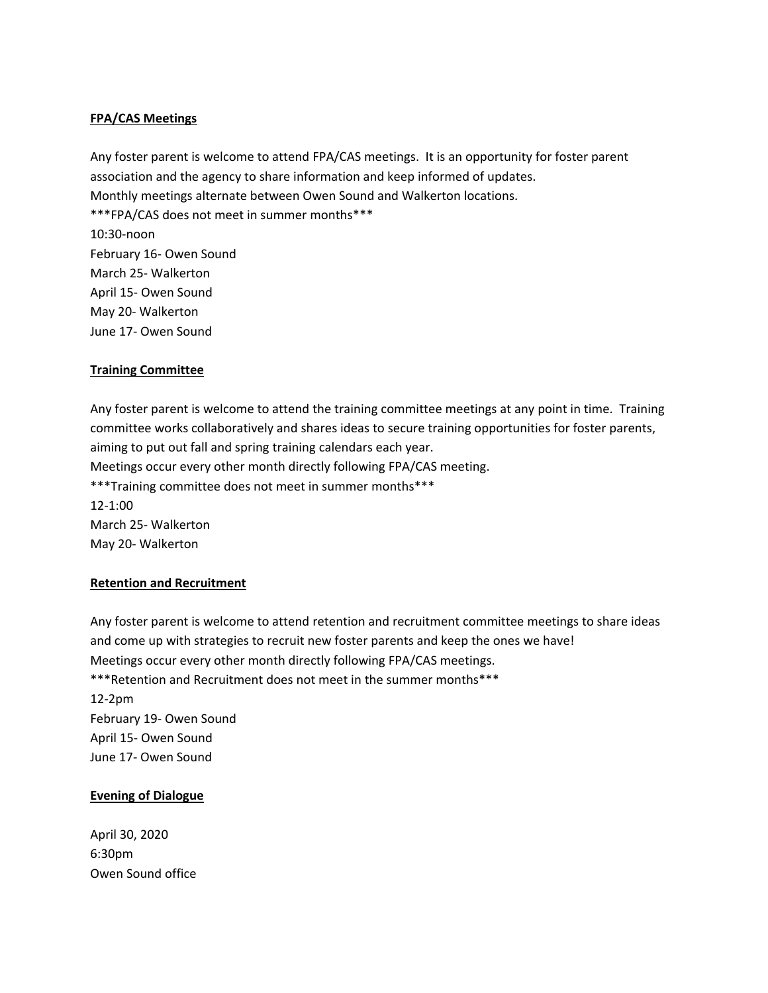## **FPA/CAS Meetings**

Any foster parent is welcome to attend FPA/CAS meetings. It is an opportunity for foster parent association and the agency to share information and keep informed of updates. Monthly meetings alternate between Owen Sound and Walkerton locations. \*\*\*FPA/CAS does not meet in summer months\*\*\* 10:30‐noon February 16‐ Owen Sound March 25‐ Walkerton April 15‐ Owen Sound May 20‐ Walkerton June 17‐ Owen Sound

### **Training Committee**

Any foster parent is welcome to attend the training committee meetings at any point in time. Training committee works collaboratively and shares ideas to secure training opportunities for foster parents, aiming to put out fall and spring training calendars each year. Meetings occur every other month directly following FPA/CAS meeting. \*\*\*Training committee does not meet in summer months\*\*\* 12‐1:00 March 25‐ Walkerton May 20‐ Walkerton

### **Retention and Recruitment**

Any foster parent is welcome to attend retention and recruitment committee meetings to share ideas and come up with strategies to recruit new foster parents and keep the ones we have! Meetings occur every other month directly following FPA/CAS meetings. \*\*\*Retention and Recruitment does not meet in the summer months\*\*\* 12‐2pm February 19‐ Owen Sound April 15‐ Owen Sound June 17‐ Owen Sound

### **Evening of Dialogue**

April 30, 2020 6:30pm Owen Sound office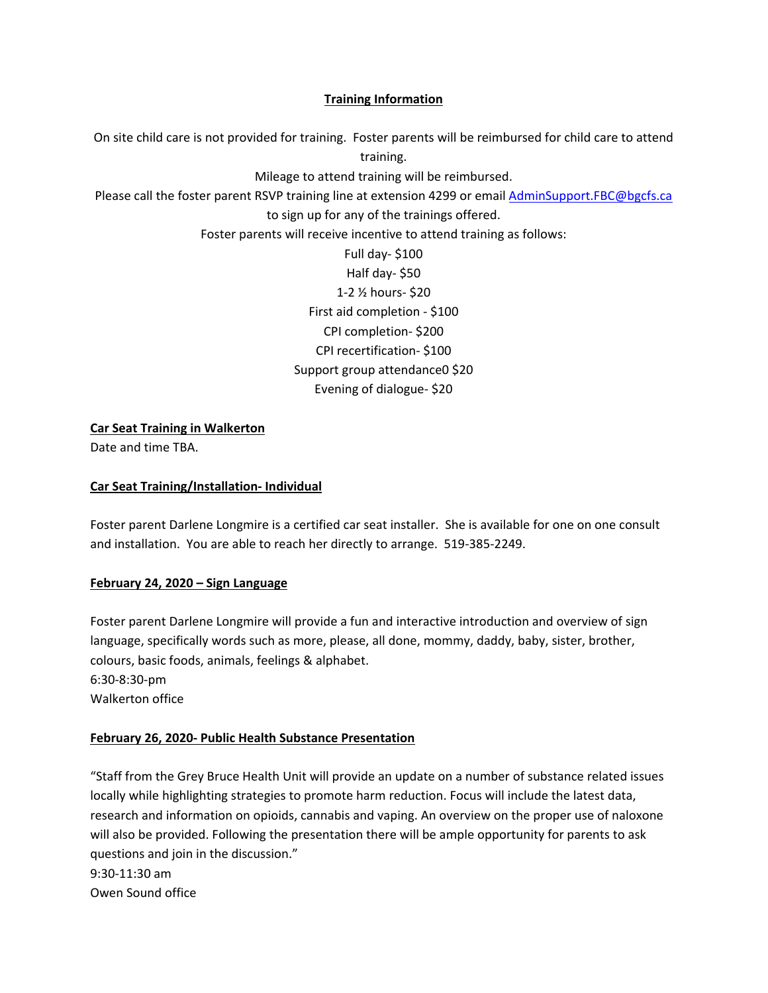## **Training Information**

On site child care is not provided for training. Foster parents will be reimbursed for child care to attend training. Mileage to attend training will be reimbursed. Please call the foster parent RSVP training line at extension 4299 or email AdminSupport.FBC@bgcfs.ca to sign up for any of the trainings offered. Foster parents will receive incentive to attend training as follows: Full day‐ \$100 Half day‐ \$50 1‐2 ½ hours‐ \$20 First aid completion ‐ \$100 CPI completion‐ \$200 CPI recertification‐ \$100 Support group attendance0 \$20 Evening of dialogue‐ \$20

**Car Seat Training in Walkerton**

Date and time TBA.

### **Car Seat Training/Installation‐ Individual**

Foster parent Darlene Longmire is a certified car seat installer. She is available for one on one consult and installation. You are able to reach her directly to arrange. 519‐385‐2249.

### **February 24, 2020 – Sign Language**

Foster parent Darlene Longmire will provide a fun and interactive introduction and overview of sign language, specifically words such as more, please, all done, mommy, daddy, baby, sister, brother, colours, basic foods, animals, feelings & alphabet. 6:30‐8:30‐pm

Walkerton office

## **February 26, 2020‐ Public Health Substance Presentation**

"Staff from the Grey Bruce Health Unit will provide an update on a number of substance related issues locally while highlighting strategies to promote harm reduction. Focus will include the latest data, research and information on opioids, cannabis and vaping. An overview on the proper use of naloxone will also be provided. Following the presentation there will be ample opportunity for parents to ask questions and join in the discussion." 9:30‐11:30 am Owen Sound office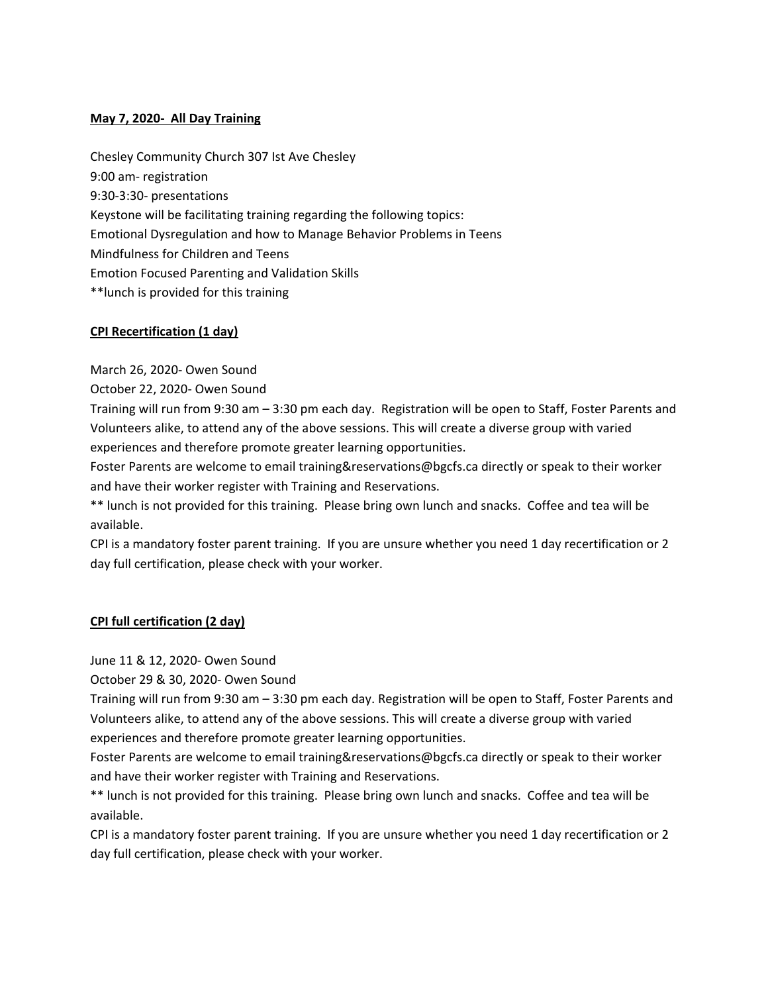## **May 7, 2020‐ All Day Training**

Chesley Community Church 307 Ist Ave Chesley 9:00 am‐ registration 9:30‐3:30‐ presentations Keystone will be facilitating training regarding the following topics: Emotional Dysregulation and how to Manage Behavior Problems in Teens Mindfulness for Children and Teens Emotion Focused Parenting and Validation Skills \*\*lunch is provided for this training

## **CPI Recertification (1 day)**

March 26, 2020‐ Owen Sound

October 22, 2020‐ Owen Sound

Training will run from 9:30 am – 3:30 pm each day. Registration will be open to Staff, Foster Parents and Volunteers alike, to attend any of the above sessions. This will create a diverse group with varied experiences and therefore promote greater learning opportunities.

Foster Parents are welcome to email training&reservations@bgcfs.ca directly or speak to their worker and have their worker register with Training and Reservations.

\*\* lunch is not provided for this training. Please bring own lunch and snacks. Coffee and tea will be available.

CPI is a mandatory foster parent training. If you are unsure whether you need 1 day recertification or 2 day full certification, please check with your worker.

### **CPI full certification (2 day)**

June 11 & 12, 2020‐ Owen Sound

October 29 & 30, 2020‐ Owen Sound

Training will run from 9:30 am – 3:30 pm each day. Registration will be open to Staff, Foster Parents and Volunteers alike, to attend any of the above sessions. This will create a diverse group with varied experiences and therefore promote greater learning opportunities.

Foster Parents are welcome to email training&reservations@bgcfs.ca directly or speak to their worker and have their worker register with Training and Reservations.

\*\* lunch is not provided for this training. Please bring own lunch and snacks. Coffee and tea will be available.

CPI is a mandatory foster parent training. If you are unsure whether you need 1 day recertification or 2 day full certification, please check with your worker.